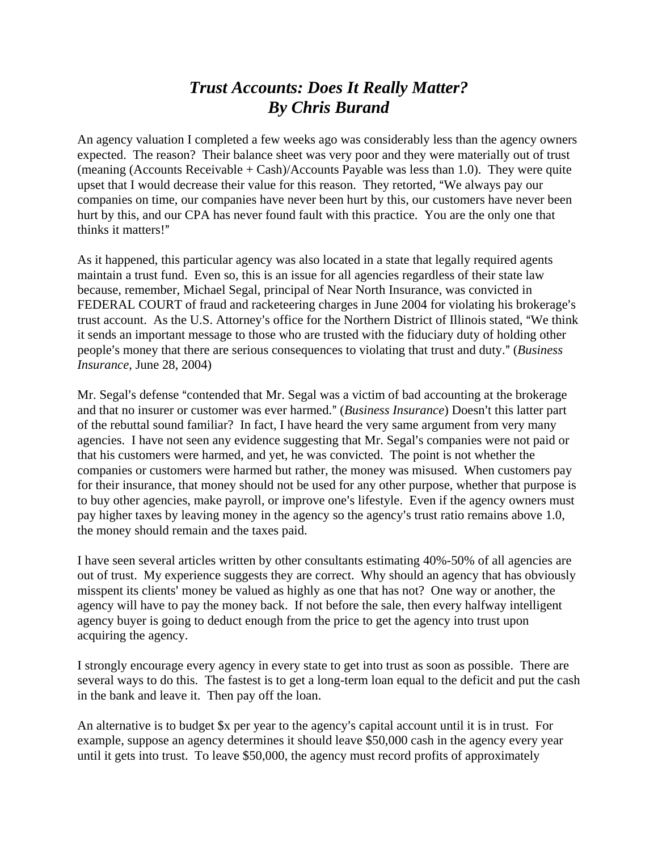## *Trust Accounts: Does It Really Matter? By Chris Burand*

An agency valuation I completed a few weeks ago was considerably less than the agency owners expected. The reason? Their balance sheet was very poor and they were materially out of trust (meaning (Accounts Receivable + Cash)/Accounts Payable was less than 1.0). They were quite upset that I would decrease their value for this reason. They retorted, "We always pay our companies on time, our companies have never been hurt by this, our customers have never been hurt by this, and our CPA has never found fault with this practice. You are the only one that thinks it matters!"

As it happened, this particular agency was also located in a state that legally required agents maintain a trust fund. Even so, this is an issue for all agencies regardless of their state law because, remember, Michael Segal, principal of Near North Insurance, was convicted in FEDERAL COURT of fraud and racketeering charges in June 2004 for violating his brokerage's trust account. As the U.S. Attorney's office for the Northern District of Illinois stated, "We think it sends an important message to those who are trusted with the fiduciary duty of holding other people's money that there are serious consequences to violating that trust and duty." (*Business Insurance*, June 28, 2004)

Mr. Segal's defense "contended that Mr. Segal was a victim of bad accounting at the brokerage and that no insurer or customer was ever harmed." (*Business Insurance*) Doesn't this latter part of the rebuttal sound familiar? In fact, I have heard the very same argument from very many agencies. I have not seen any evidence suggesting that Mr. Segal's companies were not paid or that his customers were harmed, and yet, he was convicted. The point is not whether the companies or customers were harmed but rather, the money was misused. When customers pay for their insurance, that money should not be used for any other purpose, whether that purpose is to buy other agencies, make payroll, or improve one's lifestyle. Even if the agency owners must pay higher taxes by leaving money in the agency so the agency's trust ratio remains above 1.0, the money should remain and the taxes paid.

I have seen several articles written by other consultants estimating 40%-50% of all agencies are out of trust. My experience suggests they are correct. Why should an agency that has obviously misspent its clients' money be valued as highly as one that has not? One way or another, the agency will have to pay the money back. If not before the sale, then every halfway intelligent agency buyer is going to deduct enough from the price to get the agency into trust upon acquiring the agency.

I strongly encourage every agency in every state to get into trust as soon as possible. There are several ways to do this. The fastest is to get a long-term loan equal to the deficit and put the cash in the bank and leave it. Then pay off the loan.

An alternative is to budget  $x$  per year to the agency's capital account until it is in trust. For example, suppose an agency determines it should leave \$50,000 cash in the agency every year until it gets into trust. To leave \$50,000, the agency must record profits of approximately